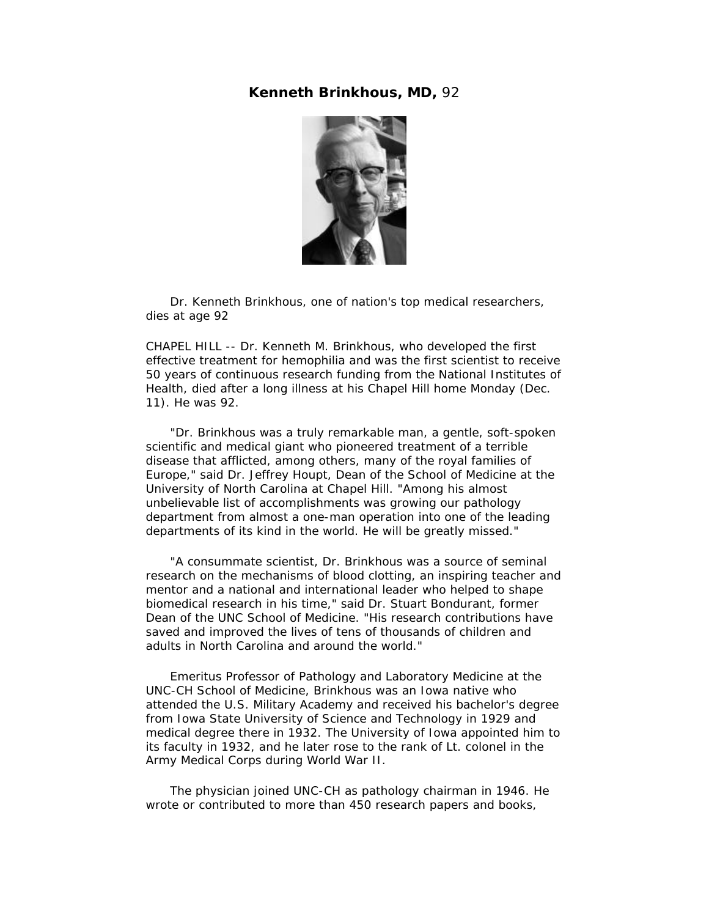## **Kenneth Brinkhous, MD,** 92



 Dr. Kenneth Brinkhous, one of nation's top medical researchers, dies at age 92

CHAPEL HILL -- Dr. Kenneth M. Brinkhous, who developed the first effective treatment for hemophilia and was the first scientist to receive 50 years of continuous research funding from the National Institutes of Health, died after a long illness at his Chapel Hill home Monday (Dec. 11). He was 92.

 "Dr. Brinkhous was a truly remarkable man, a gentle, soft-spoken scientific and medical giant who pioneered treatment of a terrible disease that afflicted, among others, many of the royal families of Europe," said Dr. Jeffrey Houpt, Dean of the School of Medicine at the University of North Carolina at Chapel Hill. "Among his almost unbelievable list of accomplishments was growing our pathology department from almost a one-man operation into one of the leading departments of its kind in the world. He will be greatly missed."

 "A consummate scientist, Dr. Brinkhous was a source of seminal research on the mechanisms of blood clotting, an inspiring teacher and mentor and a national and international leader who helped to shape biomedical research in his time," said Dr. Stuart Bondurant, former Dean of the UNC School of Medicine. "His research contributions have saved and improved the lives of tens of thousands of children and adults in North Carolina and around the world."

 Emeritus Professor of Pathology and Laboratory Medicine at the UNC-CH School of Medicine, Brinkhous was an Iowa native who attended the U.S. Military Academy and received his bachelor's degree from Iowa State University of Science and Technology in 1929 and medical degree there in 1932. The University of Iowa appointed him to its faculty in 1932, and he later rose to the rank of Lt. colonel in the Army Medical Corps during World War II.

 The physician joined UNC-CH as pathology chairman in 1946. He wrote or contributed to more than 450 research papers and books,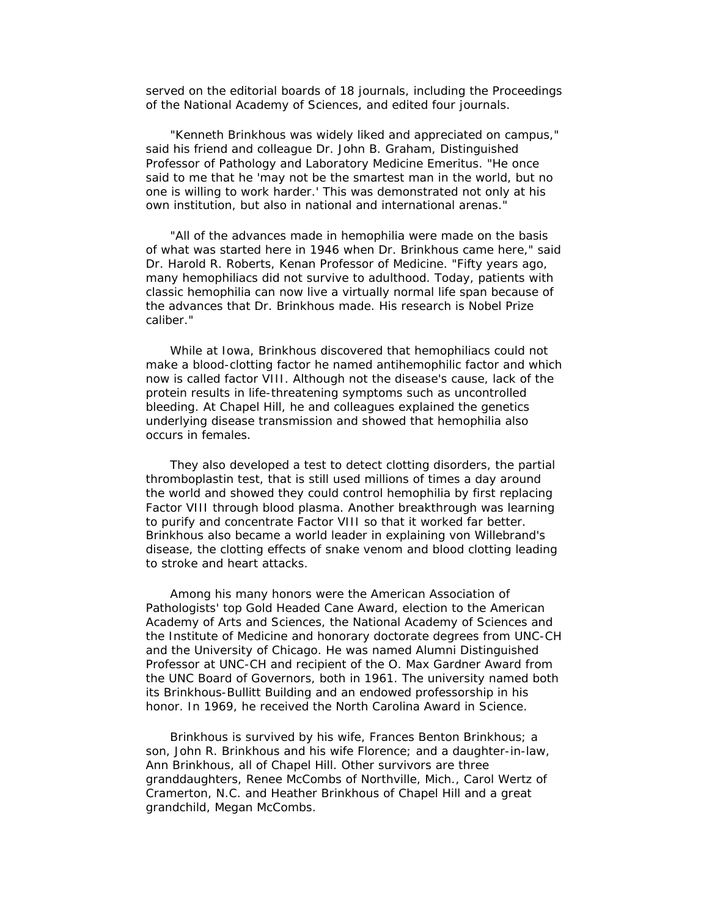served on the editorial boards of 18 journals, including the Proceedings of the National Academy of Sciences, and edited four journals.

 "Kenneth Brinkhous was widely liked and appreciated on campus," said his friend and colleague Dr. John B. Graham, Distinguished Professor of Pathology and Laboratory Medicine Emeritus. "He once said to me that he 'may not be the smartest man in the world, but no one is willing to work harder.' This was demonstrated not only at his own institution, but also in national and international arenas."

 "All of the advances made in hemophilia were made on the basis of what was started here in 1946 when Dr. Brinkhous came here," said Dr. Harold R. Roberts, Kenan Professor of Medicine. "Fifty years ago, many hemophiliacs did not survive to adulthood. Today, patients with classic hemophilia can now live a virtually normal life span because of the advances that Dr. Brinkhous made. His research is Nobel Prize caliber."

 While at Iowa, Brinkhous discovered that hemophiliacs could not make a blood-clotting factor he named antihemophilic factor and which now is called factor VIII. Although not the disease's cause, lack of the protein results in life-threatening symptoms such as uncontrolled bleeding. At Chapel Hill, he and colleagues explained the genetics underlying disease transmission and showed that hemophilia also occurs in females.

 They also developed a test to detect clotting disorders, the partial thromboplastin test, that is still used millions of times a day around the world and showed they could control hemophilia by first replacing Factor VIII through blood plasma. Another breakthrough was learning to purify and concentrate Factor VIII so that it worked far better. Brinkhous also became a world leader in explaining von Willebrand's disease, the clotting effects of snake venom and blood clotting leading to stroke and heart attacks.

 Among his many honors were the American Association of Pathologists' top Gold Headed Cane Award, election to the American Academy of Arts and Sciences, the National Academy of Sciences and the Institute of Medicine and honorary doctorate degrees from UNC-CH and the University of Chicago. He was named Alumni Distinguished Professor at UNC-CH and recipient of the O. Max Gardner Award from the UNC Board of Governors, both in 1961. The university named both its Brinkhous-Bullitt Building and an endowed professorship in his honor. In 1969, he received the North Carolina Award in Science.

 Brinkhous is survived by his wife, Frances Benton Brinkhous; a son, John R. Brinkhous and his wife Florence; and a daughter-in-law, Ann Brinkhous, all of Chapel Hill. Other survivors are three granddaughters, Renee McCombs of Northville, Mich., Carol Wertz of Cramerton, N.C. and Heather Brinkhous of Chapel Hill and a great grandchild, Megan McCombs.